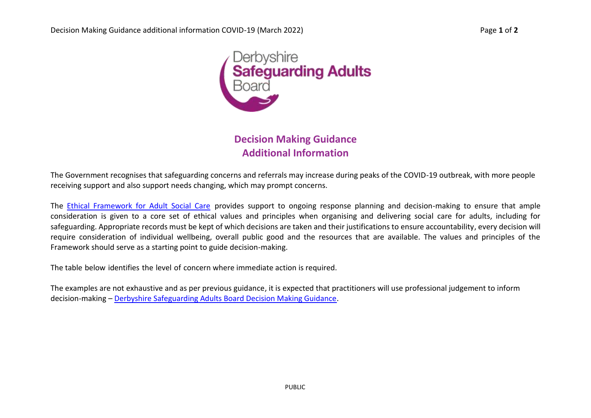

**Decision Making Guidance Additional Information**

The Government recognises that safeguarding concerns and referrals may increase during peaks of the COVID-19 outbreak, with more people receiving support and also support needs changing, which may prompt concerns.

The [Ethical Framework for Adult Social Care](https://www.gov.uk/government/publications/covid-19-ethical-framework-for-adult-social-care) provides support to ongoing response planning and decision-making to ensure that ample consideration is given to a core set of ethical values and principles when organising and delivering social care for adults, including for safeguarding. Appropriate records must be kept of which decisions are taken and their justifications to ensure accountability, every decision will require consideration of individual wellbeing, overall public good and the resources that are available. The values and principles of the Framework should serve as a starting point to guide decision-making.

The table below identifies the level of concern where immediate action is required.

The examples are not exhaustive and as per previous guidance, it is expected that practitioners will use professional judgement to inform decision-making – [Derbyshire Safeguarding Adults Board Decision Making Guidance.](https://www.derbyshiresab.org.uk/professionals/adult-safeguarding-decision-making-guidance.aspx)